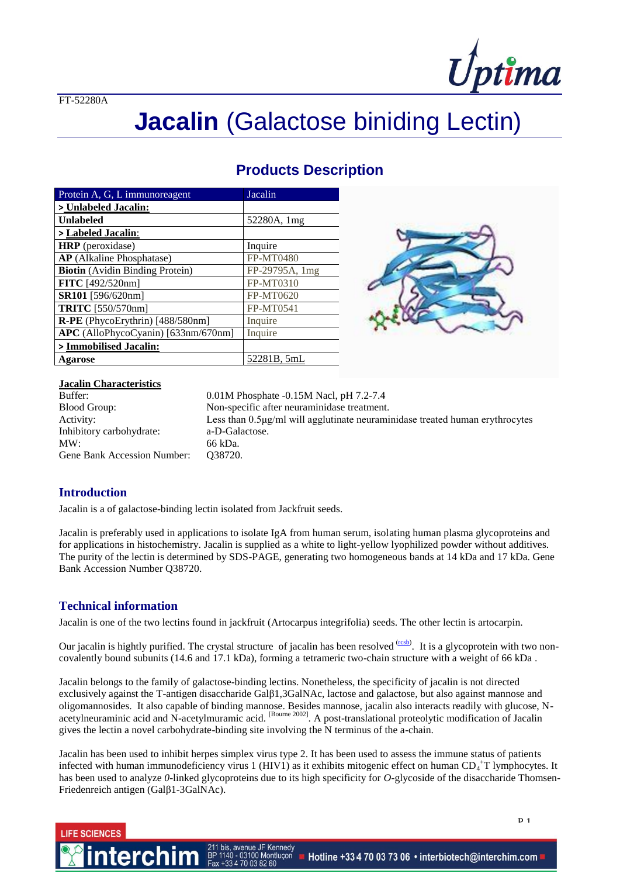FT-52280A



# **Jacalin** (Galactose biniding Lectin)

### **Products Description**

| Protein A, G, L immunoreagent          | Jacalin          |
|----------------------------------------|------------------|
| > Unlabeled Jacalin:                   |                  |
| <b>Unlabeled</b>                       | 52280A, 1mg      |
| > Labeled Jacalin:                     |                  |
| <b>HRP</b> (peroxidase)                | Inquire          |
| <b>AP</b> (Alkaline Phosphatase)       | <b>FP-MT0480</b> |
| <b>Biotin</b> (Avidin Binding Protein) | FP-29795A, 1mg   |
| FITC [492/520nm]                       | <b>FP-MT0310</b> |
| SR101 [596/620nm]                      | FP-MT0620        |
| <b>TRITC</b> [550/570nm]               | <b>FP-MT0541</b> |
| R-PE (PhycoErythrin) [488/580nm]       | Inquire          |
| APC (AlloPhycoCyanin) [633nm/670nm]    | Inquire          |
| > Immobilised Jacalin:                 |                  |
| Agarose                                | 52281B, 5mL      |



## **Jacalin Characteristics**

Inhibitory carbohydrate: a-D-Galactose. MW: 66 kDa. Gene Bank Accession Number: Q38720.

0.01M Phosphate -0.15M Nacl, pH 7.2-7.4 Blood Group: Non-specific after neuraminidase treatment. Activity: Less than 0.5μg/ml will agglutinate neuraminidase treated human erythrocytes

#### **Introduction**

**IFF SCIENCES** 

Jacalin is a of galactose-binding lectin isolated from Jackfruit seeds.

Jacalin is preferably used in applications to isolate IgA from human serum, isolating human plasma glycoproteins and for applications in histochemistry. Jacalin is supplied as a white to light-yellow lyophilized powder without additives. The purity of the lectin is determined by SDS-PAGE, generating two homogeneous bands at 14 kDa and 17 kDa. Gene Bank Accession Number Q38720.

#### **Technical information**

Jacalin is one of the two lectins found in jackfruit (Artocarpus integrifolia) seeds. The other lectin is artocarpin.

Our jacalin is hightly purified. The crystal structure of jacalin has been resolved  $\frac{(rcsb)}{l}$  $\frac{(rcsb)}{l}$  $\frac{(rcsb)}{l}$ . It is a glycoprotein with two noncovalently bound subunits (14.6 and 17.1 kDa), forming a tetrameric two-chain structure with a weight of 66 kDa .

Jacalin belongs to the family of galactose-binding lectins. Nonetheless, the specificity of jacalin is not directed exclusively against the T-antigen disaccharide Galβ1,3GalNAc, lactose and galactose, but also against mannose and oligomannosides. It also capable of binding mannose. Besides mannose, jacalin also interacts readily with glucose, Nacetylneuraminic acid and N-acetylmuramic acid. <sup>[Bourne 2002]</sup>. A post-translational proteolytic modification of Jacalin gives the lectin a novel carbohydrate-binding site involving the N terminus of the a-chain.

Jacalin has been used to inhibit herpes simplex virus type 2. It has been used to assess the immune status of patients infected with human immunodeficiency virus 1 (HIV1) as it exhibits mitogenic effect on human  $CD_4$ <sup>+</sup>T lymphocytes. It has been used to analyze *0*-linked glycoproteins due to its high specificity for *O*-glycoside of the disaccharide Thomsen-Friedenreich antigen (Galβ1-3GalNAc).